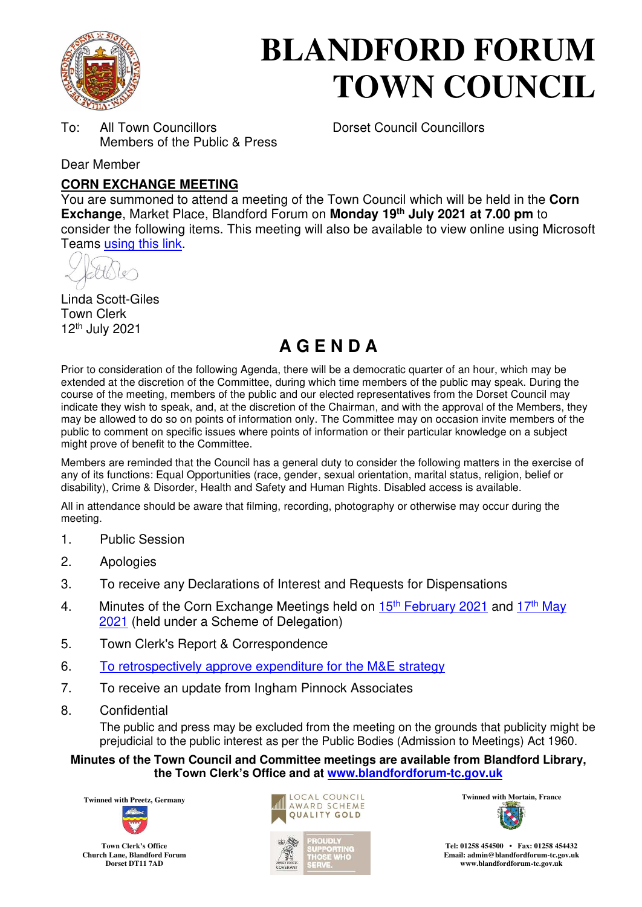

# **BLANDFORD FORUM TOWN COUNCIL**

To: All Town Councillors Dorset Council Councillors Members of the Public & Press

Dear Member

### **CORN EXCHANGE MEETING**

You are summoned to attend a meeting of the Town Council which will be held in the **Corn Exchange**, Market Place, Blandford Forum on **Monday 19th July 2021 at 7.00 pm** to consider the following items. This meeting will also be available to view online using Microsoft Teams [using this link.](https://teams.microsoft.com/l/meetup-join/19%3a2cb1b1f9de074efdad40308940ab9ba0%40thread.tacv2/1622549646194?context=%7b%22Tid%22%3a%223cd8f2fb-4c45-4162-86f1-fb87b5f6a138%22%2c%22Oid%22%3a%2265e5950c-ab1c-41cc-9090-4a755c733f54%22%7d)

Linda Scott-Giles Town Clerk 12th July 2021

# **A G E N D A**

Prior to consideration of the following Agenda, there will be a democratic quarter of an hour, which may be extended at the discretion of the Committee, during which time members of the public may speak. During the course of the meeting, members of the public and our elected representatives from the Dorset Council may indicate they wish to speak, and, at the discretion of the Chairman, and with the approval of the Members, they may be allowed to do so on points of information only. The Committee may on occasion invite members of the public to comment on specific issues where points of information or their particular knowledge on a subject might prove of benefit to the Committee.

Members are reminded that the Council has a general duty to consider the following matters in the exercise of any of its functions: Equal Opportunities (race, gender, sexual orientation, marital status, religion, belief or disability), Crime & Disorder, Health and Safety and Human Rights. Disabled access is available.

All in attendance should be aware that filming, recording, photography or otherwise may occur during the meeting.

- 1. Public Session
- 2. Apologies
- 3. To receive any Declarations of Interest and Requests for Dispensations
- 4. Minutes of the Corn Exchange Meetings held on  $15<sup>th</sup>$  [February 2021](https://blandfordforum-tc.gov.uk/wp-content/uploads/2021/02/150221.pdf) and  $17<sup>th</sup>$  May [2021](https://blandfordforum-tc.gov.uk/wp-content/uploads/2021/05/170521.pdf) (held under a Scheme of Delegation)
- 5. Town Clerk's Report & Correspondence
- 6. [To retrospectively approve expenditure for the M&E strategy](#page-1-0)
- 7. To receive an update from Ingham Pinnock Associates
- 8. Confidential

The public and press may be excluded from the meeting on the grounds that publicity might be prejudicial to the public interest as per the Public Bodies (Admission to Meetings) Act 1960.

#### **Minutes of the Town Council and Committee meetings are available from Blandford Library, the Town Clerk's Office and at [www.blandfordforum-tc.gov.uk](http://www.blandfordforum-tc.gov.uk/)**



**Town Clerk's Office Church Lane, Blandford Forum Dorset DT11 7AD**





**Tel: 01258 454500 • Fax: 01258 454432 Email: admin@blandfordforum-tc.gov.uk [www.blandfordforum-tc.gov.uk](http://www.blandfordforum-tc.gov.uk/)**